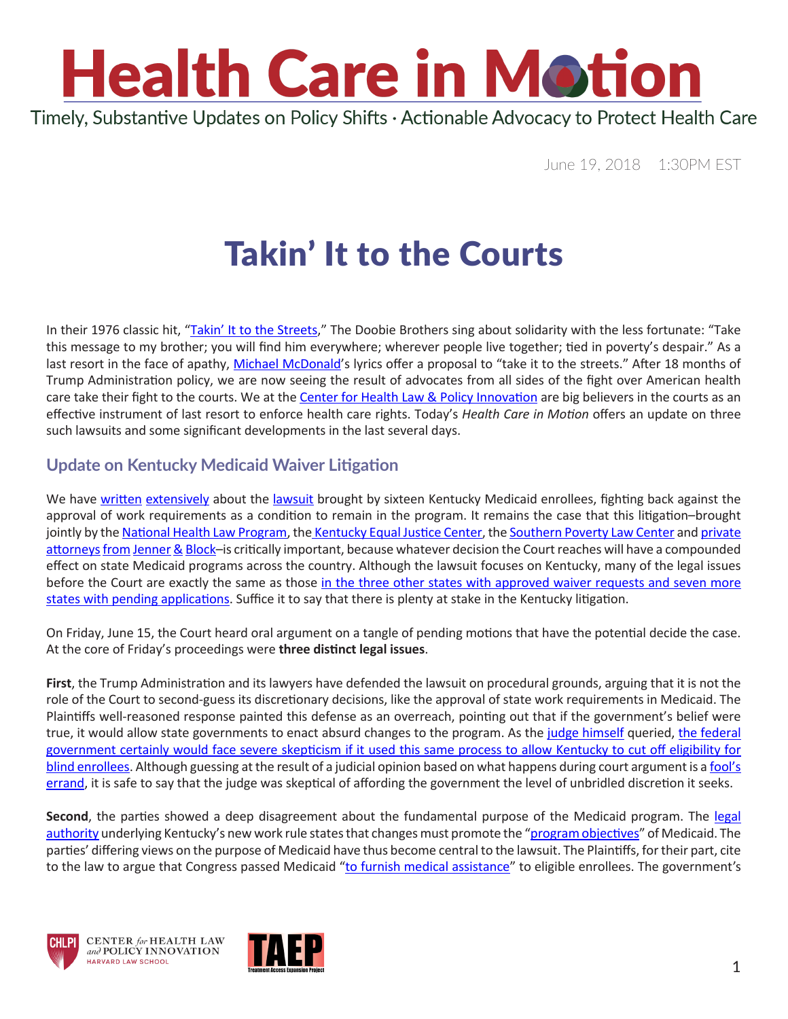

June 19, 2018 1:30PM EST

### Takin' It to the Courts

In their 1976 classic hit, ["Takin' It to the Streets,](https://www.youtube.com/watch?v=2rxWPEdYCnI)" The Doobie Brothers sing about solidarity with the less fortunate: "Take this message to my brother; you will find him everywhere; wherever people live together; tied in poverty's despair." As a last resort in the face of apathy, [Michael McDonald](https://www.youtube.com/watch?v=JeCD4bIkQwg)'s lyrics offer a proposal to "take it to the streets." After 18 months of Trump Administration policy, we are now seeing the result of advocates from all sides of the fight over American health care take their fight to the courts. We at the [Center for Health Law & Policy Innovation](https://www.chlpi.org/) are big believers in the courts as an effective instrument of last resort to enforce health care rights. Today's *Health Care in Motion* offers an update on three such lawsuits and some significant developments in the last several days.

#### **Update on Kentucky Medicaid Waiver Litigation**

We have [written](https://www.chlpi.org/wp-content/uploads/2013/12/HCIM_01_19_2018.pdf) [extensively](https://www.chlpi.org/wp-content/uploads/2013/12/HCIM_05_07_2018.pdf) about the [lawsuit](http://www.healthlaw.org/publications/browse-all-publications/summary-of-lawsuit-filed-against-hhs-approval-of-kentucky-waivers#.Wyf6eKdKi70) brought by sixteen Kentucky Medicaid enrollees, fighting back against the approval of work requirements as a condition to remain in the program. It remains the case that this litigation–brought jointly by the [National Health Law Program](http://www.healthlaw.org/), the [Kentucky Equal Justice Center](http://www.kyequaljustice.org/), the [Southern Poverty Law Center](https://www.splcenter.org/) and [private](https://jenner.com/people/ThomasPerrelli) [attorneys](https://jenner.com/people/IanGershengorn) [from](https://jenner.com/people/DeviRao) [Jenner](https://jenner.com/people/SamuelJacobson/) [&](https://jenner.com/people/NatachaLam) [Block](https://jenner.com/people/LaurenHartz)–is critically important, because whatever decision the Court reaches will have a compounded effect on state Medicaid programs across the country. Although the lawsuit focuses on Kentucky, many of the legal issues before the Court are exactly the same as those in the three other states with approved waiver requests and seven more [states with pending applications](https://www.kff.org/medicaid/issue-brief/which-states-have-approved-and-pending-section-1115-medicaid-waivers/). Suffice it to say that there is plenty at stake in the Kentucky litigation.

On Friday, June 15, the Court heard oral argument on a tangle of pending motions that have the potential decide the case. At the core of Friday's proceedings were **three distinct legal issues**.

**First**, the Trump Administration and its lawyers have defended the lawsuit on procedural grounds, arguing that it is not the role of the Court to second-guess its discretionary decisions, like the approval of state work requirements in Medicaid. The Plaintiffs well-reasoned response painted this defense as an overreach, pointing out that if the government's belief were true, it would allow state governments to enact absurd changes to the program. As the [judge himself](https://ballotpedia.org/James_E._Boasberg) queried, [the federal](https://talkingpointsmemo.com/dc/federal-judge-skeptical-of-kentucky-and-the-trump-admins-medicaid-threats)  [government certainly would face severe skepticism if it used this same process to allow Kentucky to cut off eligibility for](https://talkingpointsmemo.com/dc/federal-judge-skeptical-of-kentucky-and-the-trump-admins-medicaid-threats)  [blind enrollees](https://talkingpointsmemo.com/dc/federal-judge-skeptical-of-kentucky-and-the-trump-admins-medicaid-threats). Although guessing at the result of a judicial opinion based on what happens during court argument is a [fool's](https://www.youtube.com/watch?v=-ZrrWj_y3Mc)  [errand](https://www.youtube.com/watch?v=-ZrrWj_y3Mc), it is safe to say that the judge was skeptical of affording the government the level of unbridled discretion it seeks.

**Second**, the parties showed a deep disagreement about the fundamental purpose of the Medicaid program. The [legal](https://www.law.cornell.edu/uscode/text/42/1315) [authority](https://www.law.cornell.edu/uscode/text/42/1315) underlying Kentucky's new work rule states that changes must promote the ["program objectives"](https://www.cbpp.org/research/health/medicaid-waivers-should-further-program-objectives-not-impose-barriers-to-coverage) of Medicaid. The parties' differing views on the purpose of Medicaid have thus become central to the lawsuit. The Plaintiffs, for their part, cite to the law to argue that Congress passed Medicaid "to furnish medical assistance" to eligible enrollees. The government's





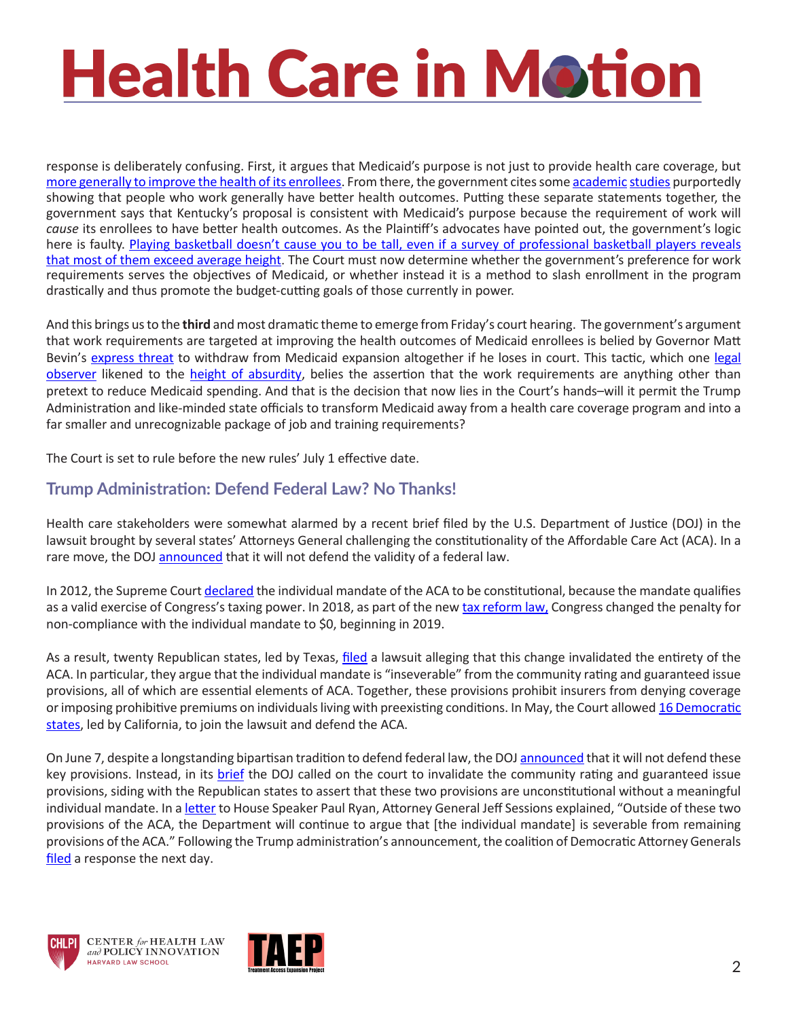# **Health Care in Motion**

response is deliberately confusing. First, it argues that Medicaid's purpose is not just to provide health care coverage, but [more generally to improve the health of its enrollees](https://www.medicaid.gov/medicaid/section-1115-demo/community-engagement/index.html). From there, the government cites some [academic](https://assets.publishing.service.gov.uk/government/uploads/system/uploads/attachment_data/file/214326/hwwb-is-work-good-for-you.pdf) [studies](https://www.ncbi.nlm.nih.gov/pubmed/24556535) purportedly showing that people who work generally have better health outcomes. Putting these separate statements together, the government says that Kentucky's proposal is consistent with Medicaid's purpose because the requirement of work will *cause* its enrollees to have better health outcomes. As the Plaintiff's advocates have pointed out, the government's logic here is faulty. [Playing basketball doesn't cause you to be tall, even if a survey of professional basketball players reveals](https://www.facebook.com/NHeLProgram/videos/10156050416164900/)  [that most of them exceed average height](https://www.facebook.com/NHeLProgram/videos/10156050416164900/). The Court must now determine whether the government's preference for work requirements serves the objectives of Medicaid, or whether instead it is a method to slash enrollment in the program drastically and thus promote the budget-cutting goals of those currently in power.

And this brings us to the **third** and most dramatic theme to emerge from Friday's court hearing. The government's argument that work requirements are targeted at improving the health outcomes of Medicaid enrollees is belied by Governor Matt Bevin's [express threat](https://www.courier-journal.com/story/news/politics/2018/01/16/kentucky-medicaid-bevin-plan-courts-approve-lose-care/1036514001/) to withdraw from Medicaid expansion altogether if he loses in court. This tactic, which one [legal](https://twitter.com/nicholas_bagley) [observer](https://twitter.com/nicholas_bagley) likened to the [height of absurdity](https://en.wikipedia.org/wiki/Cheeseface#/media/File:Natlamp73.jpg), belies the assertion that the work requirements are anything other than pretext to reduce Medicaid spending. And that is the decision that now lies in the Court's hands–will it permit the Trump Administration and like-minded state officials to transform Medicaid away from a health care coverage program and into a far smaller and unrecognizable package of job and training requirements?

The Court is set to rule before the new rules' July 1 effective date.

#### **Trump Administration: Defend Federal Law? No Thanks!**

Health care stakeholders were somewhat alarmed by a recent brief filed by the U.S. Department of Justice (DOJ) in the lawsuit brought by several states' Attorneys General challenging the constitutionality of the Affordable Care Act (ACA). In a rare move, the DOJ [announced](https://www.washingtonpost.com/national/health-science/trump-administration-wont-defend-aca-in-cases-brought-by-gop-states/2018/06/07/92f56e86-6a9c-11e8-9e38-24e693b38637_story.html?utm_term=.a1d6fd0aac7f) that it will not defend the validity of a federal law.

In 2012, the Supreme Court [declared](https://www.oyez.org/cases/2011/11-393) the individual mandate of the ACA to be constitutional, because the mandate qualifies as a valid exercise of Congress's taxing power. In 2018, as part of the new [tax reform law,](http://fortune.com/2017/12/20/tax-bill-individual-mandate-obamacare/) Congress changed the penalty for non-compliance with the individual mandate to \$0, beginning in 2019.

As a result, twenty Republican states, led by Texas, [filed](https://www.politico.com/story/2018/02/26/20-state-sue-over-obamacare-again-425825) a lawsuit alleging that this change invalidated the entirety of the ACA. In particular, they argue that the individual mandate is "inseverable" from the community rating and guaranteed issue provisions, all of which are essential elements of ACA. Together, these provisions prohibit insurers from denying coverage or imposing prohibitive premiums on individuals living with preexisting conditions. In May, the Court allowed [16 Democratic](https://www.healthaffairs.org/do/10.1377/hblog20180517.968731/full/) [states](https://www.healthaffairs.org/do/10.1377/hblog20180517.968731/full/), led by California, to join the lawsuit and defend the ACA.

On June 7, despite a longstanding bipartisan tradition to defend federal law, the DOJ [announced](https://www.justice.gov/file/1069806/download) that it will not defend these key provisions. Instead, in its [brief](https://www.justsecurity.org/wp-content/uploads/2018/06/ACA.Azar_.filing.pdf) the DOJ called on the court to invalidate the community rating and guaranteed issue provisions, siding with the Republican states to assert that these two provisions are unconstitutional without a meaningful individual mandate. In a [letter](https://www.justice.gov/file/1069806/download) to House Speaker Paul Ryan, Attorney General Jeff Sessions explained, "Outside of these two provisions of the ACA, the Department will continue to argue that [the individual mandate] is severable from remaining provisions of the ACA." Following the Trump administration's announcement, the coalition of Democratic Attorney Generals [filed](https://www.healthaffairs.org/do/10.1377/hblog20180608.355585/full/) a response the next day.





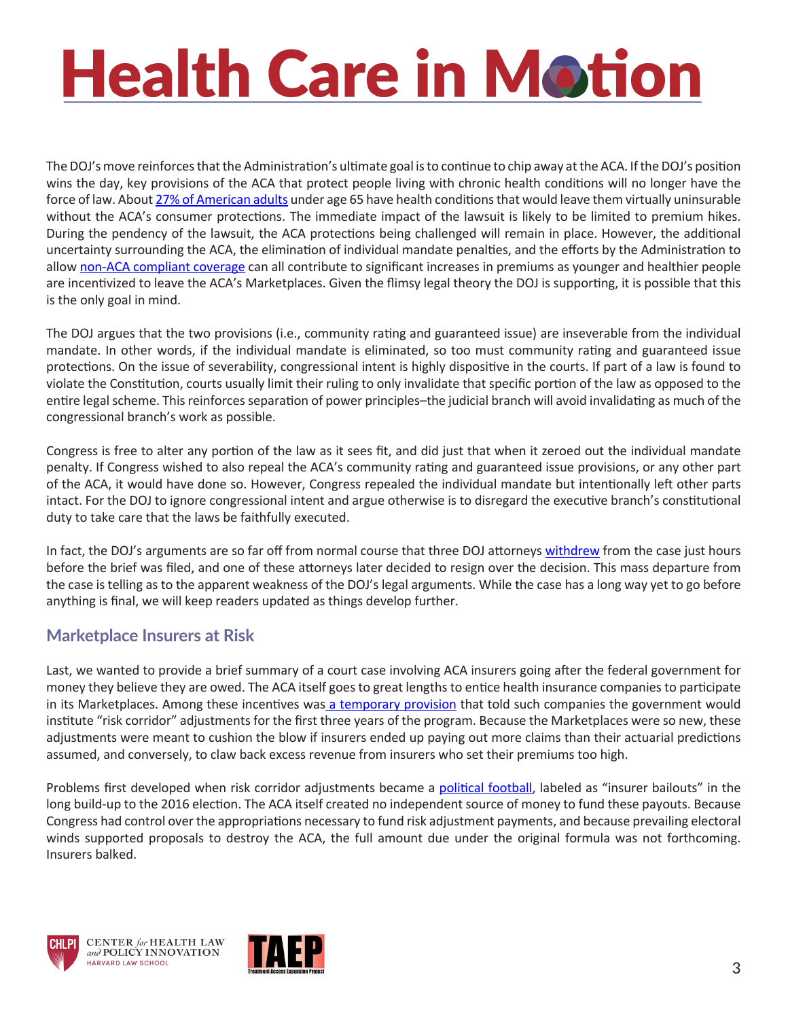# **Health Care in Motion**

The DOJ's move reinforces that the Administration's ultimate goal is to continue to chip away at the ACA. If the DOJ's position wins the day, key provisions of the ACA that protect people living with chronic health conditions will no longer have the force of law. About [27% of American adults](https://www.kff.org/health-reform/press-release/an-estimated-52-million-adults-have-pre-existing-conditions-that-would-make-them-uninsurable-pre-obamacare/) under age 65 have health conditions that would leave them virtually uninsurable without the ACA's consumer protections. The immediate impact of the lawsuit is likely to be limited to premium hikes. During the pendency of the lawsuit, the ACA protections being challenged will remain in place. However, the additional uncertainty surrounding the ACA, the elimination of individual mandate penalties, and the efforts by the Administration to allow [non-ACA compliant coverage](http://familiesusa.org/product/association-and-short-term-health-plans-lose-lose-proposition) can all contribute to significant increases in premiums as younger and healthier people are incentivized to leave the ACA's Marketplaces. Given the flimsy legal theory the DOJ is supporting, it is possible that this is the only goal in mind.

The DOJ argues that the two provisions (i.e., community rating and guaranteed issue) are inseverable from the individual mandate. In other words, if the individual mandate is eliminated, so too must community rating and guaranteed issue protections. On the issue of severability, congressional intent is highly dispositive in the courts. If part of a law is found to violate the Constitution, courts usually limit their ruling to only invalidate that specific portion of the law as opposed to the entire legal scheme. This reinforces separation of power principles–the judicial branch will avoid invalidating as much of the congressional branch's work as possible.

Congress is free to alter any portion of the law as it sees fit, and did just that when it zeroed out the individual mandate penalty. If Congress wished to also repeal the ACA's community rating and guaranteed issue provisions, or any other part of the ACA, it would have done so. However, Congress repealed the individual mandate but intentionally left other parts intact. For the DOJ to ignore congressional intent and argue otherwise is to disregard the executive branch's constitutional duty to take care that the laws be faithfully executed.

In fact, the DOJ's arguments are so far off from normal course that three DOJ attorneys [withdrew](http://www.nbc-2.com/story/38409622/doj-attorney-resigns-after-justice-stops-defending-key-obamacare-provisions) from the case just hours before the brief was filed, and one of these attorneys later decided to resign over the decision. This mass departure from the case is telling as to the apparent weakness of the DOJ's legal arguments. While the case has a long way yet to go before anything is final, we will keep readers updated as things develop further.

#### **Marketplace Insurers at Risk**

Last, we wanted to provide a brief summary of a court case involving ACA insurers going after the federal government for money they believe they are owed. The ACA itself goes to great lengths to entice health insurance companies to participate in its Marketplaces. Among these incentives was [a temporary provision](https://www.law.cornell.edu/uscode/text/42/18062) that told such companies the government would institute "risk corridor" adjustments for the first three years of the program. Because the Marketplaces were so new, these adjustments were meant to cushion the blow if insurers ended up paying out more claims than their actuarial predictions assumed, and conversely, to claw back excess revenue from insurers who set their premiums too high.

Problems first developed when risk corridor adjustments became a [political football](https://www.nytimes.com/2015/12/10/us/politics/marco-rubio-obamacare-affordable-care-act.html), labeled as "insurer bailouts" in the long build-up to the 2016 election. The ACA itself created no independent source of money to fund these payouts. Because Congress had control over the appropriations necessary to fund risk adjustment payments, and because prevailing electoral winds supported proposals to destroy the ACA, the full amount due under the original formula was not forthcoming. Insurers balked.